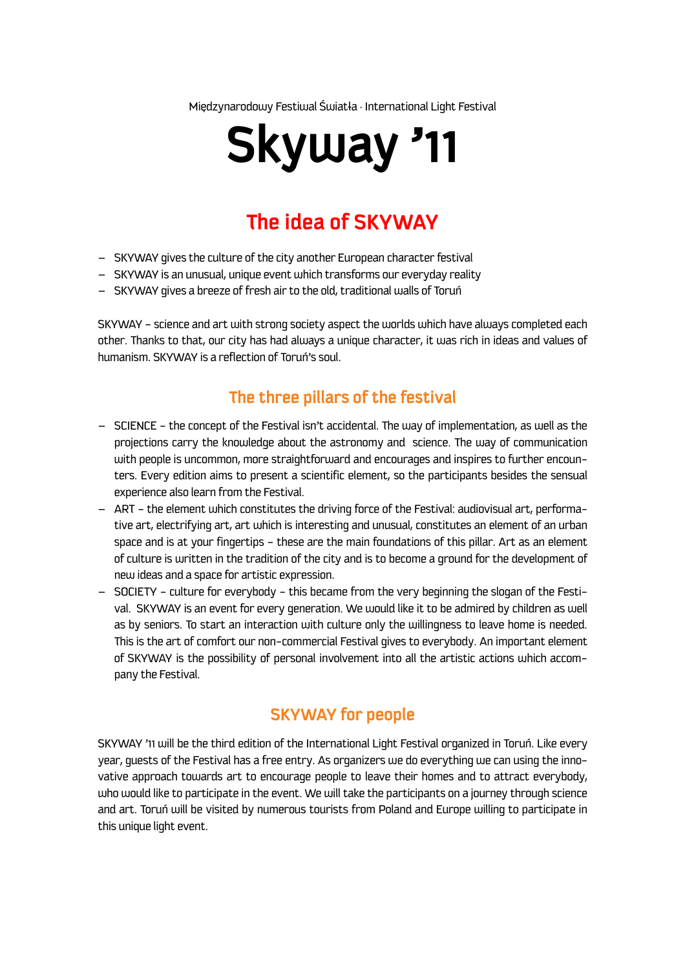Międzynarodowy Festiwal Światła · International Light Festival

# **Skyway '11**

# **The idea of SKYWAY**

- SKYWAY gives the culture of the city another European character festival
- SKYWAY is an unusual, unique event which transforms our everyday reality
- SKYWAY gives a breeze of fresh air to the old, traditional walls of Toruń

SKYWAY – science and art with strong society aspect the worlds which have always completed each other. Thanks to that, our city has had always a unique character, it was rich in ideas and values of humanism. SKYWAY is a reflection of Toruń's soul.

#### **The three pillars of the festival**

- SCIENCE the concept of the Festival isn't accidental. The way of implementation, as well as the projections carry the knowledge about the astronomy and science. The way of communication with people is uncommon, more straightforward and encourages and inspires to further encounters. Every edition aims to present a scientific element, so the participants besides the sensual experience also learn from the Festival.
- ART the element which constitutes the driving force of the Festival: audiovisual art, performative art, electrifying art, art which is interesting and unusual, constitutes an element of an urban space and is at your fingertips – these are the main foundations of this pillar. Art as an element of culture is written in the tradition of the city and is to become a ground for the development of new ideas and a space for artistic expression.
- SOCIETY culture for everybody this became from the very beginning the slogan of the Festival. SKYWAY is an event for every generation. We would like it to be admired by children as well as by seniors. To start an interaction with culture only the willingness to leave home is needed. This is the art of comfort our non-commercial Festival gives to everybody. An important element of SKYWAY is the possibility of personal involvement into all the artistic actions which accompany the Festival.

#### **SKYWAY for people**

SKYWAY '11 will be the third edition of the International Light Festival organized in Toruń. Like every year, guests of the Festival has a free entry. As organizers we do everything we can using the innovative approach towards art to encourage people to leave their homes and to attract everybody, who would like to participate in the event. We will take the participants on a journey through science and art. Toruń will be visited by numerous tourists from Poland and Europe willing to participate in this unique light event.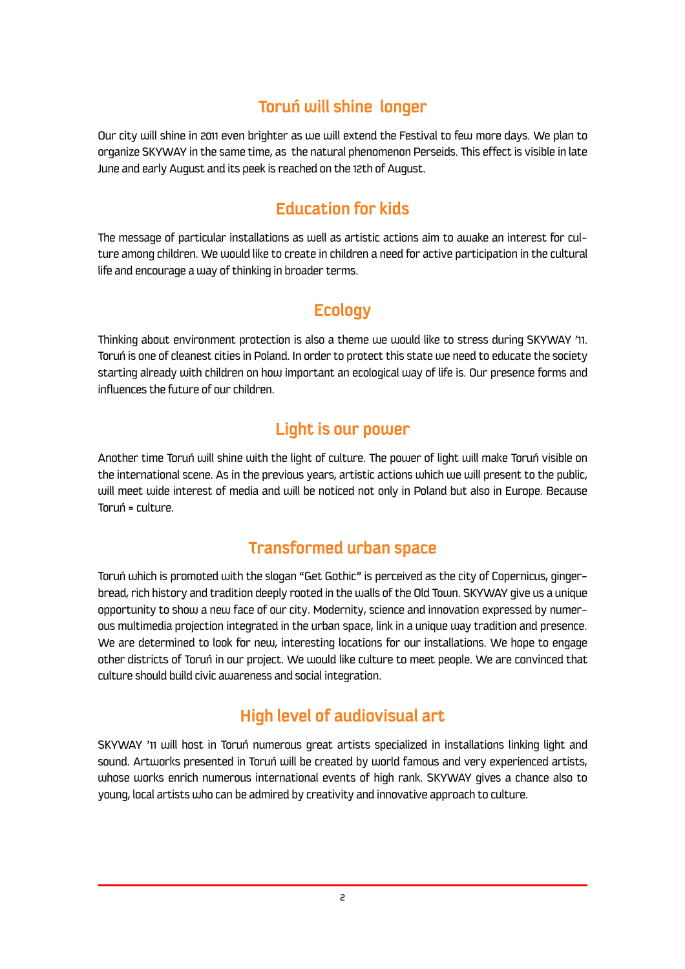## **Toruń will shine longer**

Our city will shine in 2011 even brighter as we will extend the Festival to few more days. We plan to organize SKYWAY in the same time, as the natural phenomenon Perseids. This effect is visible in late June and early August and its peek is reached on the 12th of August.

# **Education for kids**

The message of particular installations as well as artistic actions aim to awake an interest for culture among children. We would like to create in children a need for active participation in the cultural life and encourage a way of thinking in broader terms.

#### **Ecology**

Thinking about environment protection is also a theme we would like to stress during SKYWAY '11. Toruń is one of cleanest cities in Poland. In order to protect this state we need to educate the society starting already with children on how important an ecological way of life is. Our presence forms and influences the future of our children.

#### **Light is our power**

Another time Toruń will shine with the light of culture. The power of light will make Toruń visible on the international scene. As in the previous years, artistic actions which we will present to the public, will meet wide interest of media and will be noticed not only in Poland but also in Europe. Because Toruń = culture.

#### **Transformed urban space**

Toruń which is promoted with the slogan "Get Gothic" is perceived as the city of Copernicus, gingerbread, rich history and tradition deeply rooted in the walls of the Old Town. SKYWAY give us a unique opportunity to show a new face of our city. Modernity, science and innovation expressed by numerous multimedia projection integrated in the urban space, link in a unique way tradition and presence. We are determined to look for new, interesting locations for our installations. We hope to engage other districts of Toruń in our project. We would like culture to meet people. We are convinced that culture should build civic awareness and social integration.

# **High level of audiovisual art**

SKYWAY '11 will host in Toruń numerous great artists specialized in installations linking light and sound. Artworks presented in Toruń will be created by world famous and very experienced artists, whose works enrich numerous international events of high rank. SKYWAY gives a chance also to young, local artists who can be admired by creativity and innovative approach to culture.